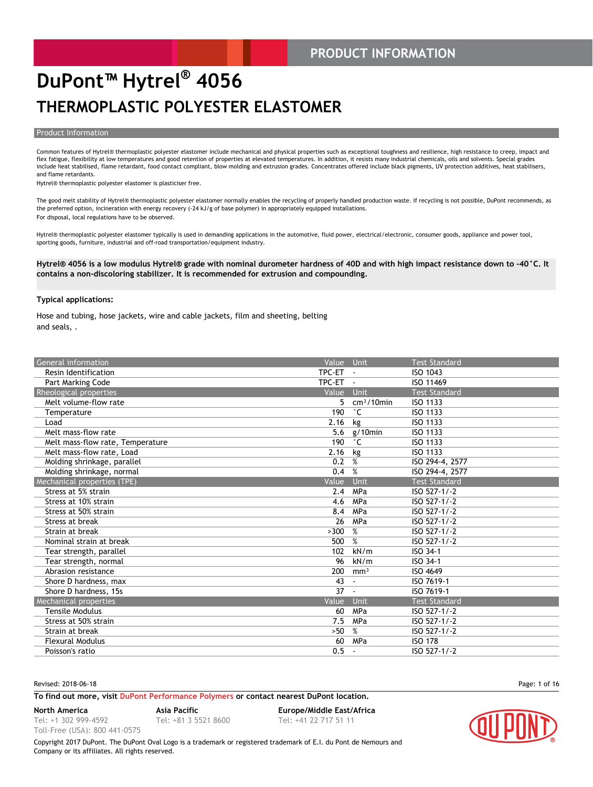#### **PRODUCT INFORMATION**

### **DuPont™ Hytrel® 4056 THERMOPLASTIC POLYESTER ELASTOMER**

#### **Product Information**

Common features of Hytrel® thermoplastic polyester elastomer include mechanical and physical properties such as exceptional toughness and resilience, high resistance to creep, impact and flex fatigue, flexibility at low temperatures and good retention of properties at elevated temperatures. In addition, it resists many industrial chemicals, oils and solvents. Special grades include heat stabilised, flame retardant, food contact compliant, blow molding and extrusion grades. Concentrates offered include black pigments, UV protection additives, heat stabilisers, and flame retardants.

Hytrel® thermoplastic polyester elastomer is plasticiser free.

The good melt stability of Hytrel® thermoplastic polyester elastomer normally enables the recycling of properly handled production waste. If recycling is not possible, DuPont recommends, as the preferred option, incineration with energy recovery (-24 kJ/g of base polymer) in appropriately equipped installations. For disposal, local regulations have to be observed.

Hytrel® thermoplastic polyester elastomer typically is used in demanding applications in the automotive, fluid power, electrical/electronic, consumer goods, appliance and power tool, sporting goods, furniture, industrial and off-road transportation/equipment industry.

**Hytrel® 4056 is a low modulus Hytrel® grade with nominal durometer hardness of 40D and with high impact resistance down to -40°C. It contains a non-discoloring stabilizer. It is recommended for extrusion and compounding.**

#### **Typical applications:**

Hose and tubing, hose jackets, wire and cable jackets, film and sheeting, belting and seals, .

| General information              | Value Unit |                 | <b>Test Standard</b> |
|----------------------------------|------------|-----------------|----------------------|
| Resin Identification             | TPC-ET -   |                 | ISO 1043             |
| Part Marking Code                | TPC-ET     | $\sim$          | ISO 11469            |
| Rheological properties           | Value      | Unit            | <b>Test Standard</b> |
| Melt volume-flow rate            | 5.         | $cm3/10$ min    | ISO 1133             |
| Temperature                      | 190        | $^{\circ}$ C    | ISO 1133             |
| Load                             | 2.16       | kg              | ISO 1133             |
| Melt mass-flow rate              | 5.6        | $g/10$ min      | ISO 1133             |
| Melt mass-flow rate, Temperature | 190        | $^{\circ}$ C    | ISO 1133             |
| Melt mass-flow rate, Load        | 2.16       | kg              | ISO 1133             |
| Molding shrinkage, parallel      | 0.2        | %               | ISO 294-4, 2577      |
| Molding shrinkage, normal        | 0.4        | %               | ISO 294-4, 2577      |
| Mechanical properties (TPE)      | Value      | Unit            | <b>Test Standard</b> |
| Stress at 5% strain              | 2.4        | MPa             | ISO 527-1/-2         |
| Stress at 10% strain             | 4.6        | MPa             | ISO 527-1/-2         |
| Stress at 50% strain             | 8.4        | MPa             | ISO 527-1/-2         |
| Stress at break                  | 26         | MPa             | ISO 527-1/-2         |
| Strain at break                  | >300       | %               | ISO 527-1/-2         |
| Nominal strain at break          | 500        | %               | ISO 527-1/-2         |
| Tear strength, parallel          | 102        | kN/m            | ISO 34-1             |
| Tear strength, normal            | 96         | kN/m            | ISO 34-1             |
| Abrasion resistance              | 200        | mm <sup>3</sup> | ISO 4649             |
| Shore D hardness, max            | 43         |                 | ISO 7619-1           |
| Shore D hardness, 15s            | 37         | $\blacksquare$  | ISO 7619-1           |
| <b>Mechanical properties</b>     | Value      | Unit            | <b>Test Standard</b> |
| Tensile Modulus                  | 60         | MPa             | ISO 527-1/-2         |
| Stress at 50% strain             | 7.5        | MPa             | ISO 527-1/-2         |
| Strain at break                  | >50        | %               | ISO 527-1/-2         |
| <b>Flexural Modulus</b>          | 60         | MPa             | <b>ISO 178</b>       |
| Poisson's ratio                  | 0.5        |                 | ISO 527-1/-2         |

Revised: 2018-06-18 Page: 1 of 16

#### **To find out more, visit [DuPont Performance Polymers](http://www.dupont.com/products-and-services/plastics-polymers-resins/thermoplastics.html) or contact nearest DuPont location.**

**North America Asia Pacific Europe/Middle East/Africa**

Tel: +1 302 999-4592 Toll-Free (USA): 800 441-0575

Tel: +81 3 5521 8600 Tel: +41 22 717 51 11

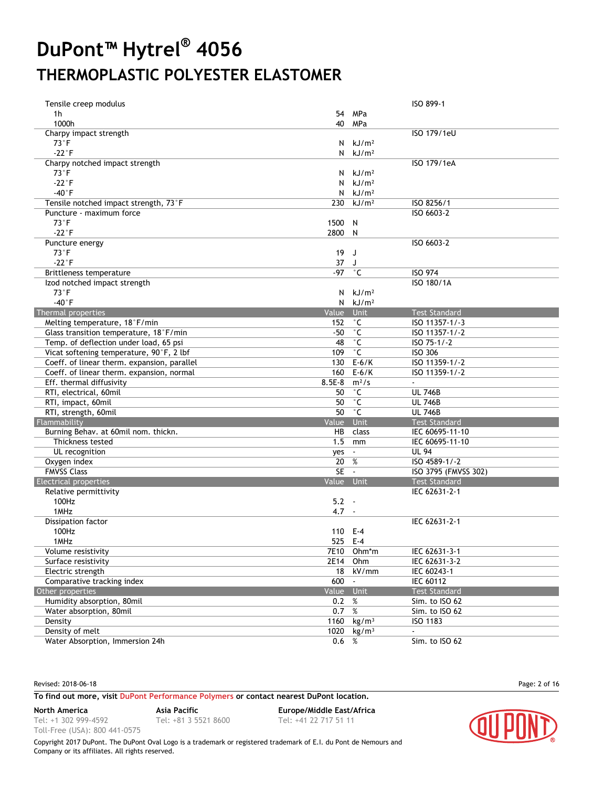| Tensile creep modulus                       |            |                   | ISO 899-1            |
|---------------------------------------------|------------|-------------------|----------------------|
| 1h                                          |            | 54 MPa            |                      |
| 1000h                                       | 40         | MPa               |                      |
| Charpy impact strength                      |            |                   | ISO 179/1eU          |
| $73^{\circ}$ F                              | N          | kJ/m <sup>2</sup> |                      |
| $-22^{\circ}F$                              | N          | kJ/m <sup>2</sup> |                      |
| Charpy notched impact strength              |            |                   | ISO 179/1eA          |
| $73^{\circ}$ F                              | N.         | kJ/m <sup>2</sup> |                      |
| $-22^{\circ}$ F                             | N          | kJ/m <sup>2</sup> |                      |
| $-40^{\circ}$ F                             | N          | kJ/m <sup>2</sup> |                      |
| Tensile notched impact strength, 73°F       | 230        | kJ/m <sup>2</sup> | ISO 8256/1           |
| Puncture - maximum force                    |            |                   | ISO 6603-2           |
| $73^{\circ}$ F                              | 1500       | N                 |                      |
| $-22^{\circ}F$                              | 2800 N     |                   |                      |
| Puncture energy                             |            |                   | ISO 6603-2           |
| $73^{\circ}$ F                              | 19         | J                 |                      |
| $-22^{\circ}F$                              | 37         | J                 |                      |
| Brittleness temperature                     | $-97$      | $^{\circ}$ C      | <b>ISO 974</b>       |
| Izod notched impact strength                |            |                   | ISO 180/1A           |
| $73^{\circ}F$                               | N.         | kJ/m <sup>2</sup> |                      |
| $-40^{\circ}$ F                             | N          | kJ/m <sup>2</sup> |                      |
| Thermal properties                          | Value      | Unit              | <b>Test Standard</b> |
| Melting temperature, 18°F/min               | 152        | $^{\circ}$ C      | ISO 11357-1/-3       |
| Glass transition temperature, 18°F/min      | $-50$      | $^{\circ}$ C      | ISO 11357-1/-2       |
| Temp. of deflection under load, 65 psi      | 48         | $^{\circ}$ C      | ISO 75-1/-2          |
| Vicat softening temperature, 90°F, 2 lbf    | 109        | $^\circ$ C        | <b>ISO 306</b>       |
| Coeff. of linear therm. expansion, parallel | 130        | $E-6/K$           | ISO 11359-1/-2       |
| Coeff. of linear therm. expansion, normal   | 160        | $E-6/K$           | ISO 11359-1/-2       |
| Eff. thermal diffusivity                    | $8.5E-8$   | $m^2/s$           | $\sim$               |
| RTI, electrical, 60mil                      | 50         | $^{\circ}$ C      | <b>UL 746B</b>       |
| RTI, impact, 60mil                          | 50         | $^{\circ}$ C      | <b>UL 746B</b>       |
| RTI, strength, 60mil                        | 50         | $^\circ$ C        | <b>UL 746B</b>       |
| Flammability                                | Value      | Unit              | <b>Test Standard</b> |
| Burning Behav. at 60mil nom. thickn.        | HB         | class             | IEC 60695-11-10      |
| Thickness tested                            | 1.5        | mm                | IEC 60695-11-10      |
| UL recognition                              | yes        | $\mathbf{r}$      | <b>UL 94</b>         |
| Oxygen index                                | 20         | %                 | ISO 4589-1/-2        |
| <b>FMVSS Class</b>                          | <b>SE</b>  | $\sim$            | ISO 3795 (FMVSS 302) |
| <b>Electrical properties</b>                | Value Unit |                   | <b>Test Standard</b> |
| Relative permittivity                       |            |                   | IEC 62631-2-1        |
| 100Hz                                       | $5.2 -$    |                   |                      |
| 1MHz                                        | 4.7        | $\sim$            |                      |
| Dissipation factor                          |            |                   | IEC 62631-2-1        |
| 100Hz                                       | 110 E-4    |                   |                      |
| 1MHz                                        | 525 E-4    |                   |                      |
| Volume resistivity                          |            | 7E10 Ohm*m        | IEC 62631-3-1        |
| Surface resistivity                         | 2E14       | Ohm               | IEC 62631-3-2        |
| Electric strength                           | 18         | kV/mm             | IEC 60243-1          |
| Comparative tracking index                  | 600        | $\sim$            | <b>IEC 60112</b>     |
| Other properties                            | Value Unit |                   | <b>Test Standard</b> |
| Humidity absorption, 80mil                  | 0.2        | %                 | Sim. to ISO 62       |
| Water absorption, 80mil                     | 0.7        | $\%$              | Sim. to ISO 62       |
| Density                                     | 1160       | kg/m <sup>3</sup> | ISO 1183             |
| Density of melt                             | 1020       | kg/m <sup>3</sup> | $\blacksquare$       |
| Water Absorption, Immersion 24h             | 0.6        | %                 | Sim. to ISO 62       |

Revised: 2018-06-18 Page: 2 of 16

#### **To find out more, visit [DuPont Performance Polymers](http://www.dupont.com/products-and-services/plastics-polymers-resins/thermoplastics.html) or contact nearest DuPont location.**

**North America Asia Pacific Europe/Middle East/Africa**

Tel: +1 302 999-4592 Toll-Free (USA): 800 441-0575

Tel: +81 3 5521 8600 Tel: +41 22 717 51 11

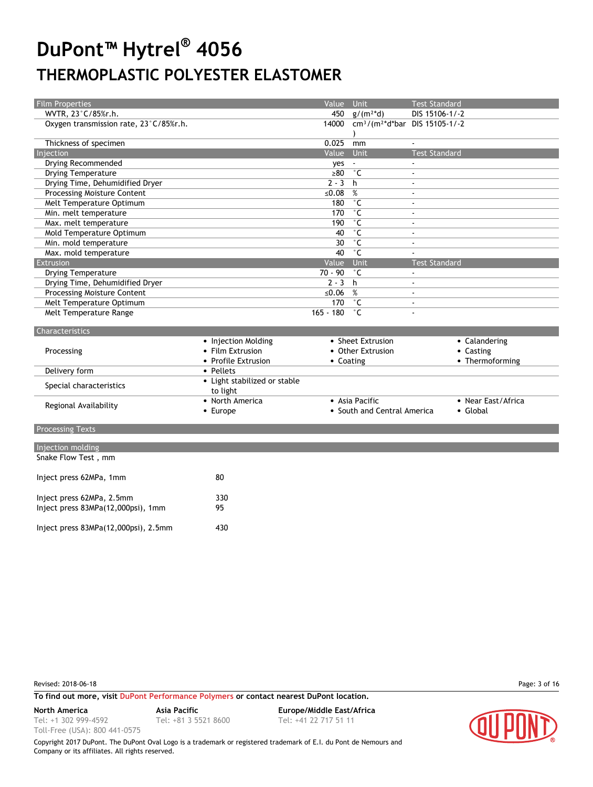| Film Properties                        |                              | Value Unit  |                                                              | <b>Test Standard</b> |                    |
|----------------------------------------|------------------------------|-------------|--------------------------------------------------------------|----------------------|--------------------|
| WVTR, 23°C/85%r.h.                     |                              |             | 450 $g/(m^2*d)$                                              | DIS 15106-1/-2       |                    |
| Oxygen transmission rate, 23°C/85%r.h. |                              |             | 14000 cm <sup>3</sup> /(m <sup>2*</sup> d*bar DIS 15105-1/-2 |                      |                    |
|                                        |                              |             |                                                              |                      |                    |
| Thickness of specimen                  |                              | 0.025       | mm                                                           |                      |                    |
| Injection                              |                              | Value       | Unit                                                         | <b>Test Standard</b> |                    |
| Drying Recommended                     |                              | yes         |                                                              |                      |                    |
| <b>Drying Temperature</b>              |                              | $\geq 80$   | $^{\circ}$ C                                                 | $\omega$             |                    |
| Drying Time, Dehumidified Dryer        |                              | $2 - 3$     | h                                                            | $\mathbf{r}$         |                    |
| Processing Moisture Content            |                              | ≤0.08       | %                                                            | $\sim$               |                    |
| Melt Temperature Optimum               |                              | 180         | $\overline{\text{C}}$                                        |                      |                    |
| Min. melt temperature                  |                              | 170         | $^{\circ}$ C                                                 | $\sim$               |                    |
| Max. melt temperature                  |                              | 190         | $^{\circ}$ C                                                 | $\sim$               |                    |
| Mold Temperature Optimum               |                              | 40          | $\overline{\text{C}}$                                        |                      |                    |
| Min. mold temperature                  |                              | 30          | $\overline{\ }$ $\overline{\mathsf{C}}$                      | $\omega$             |                    |
| Max. mold temperature                  |                              | 40          | $^{\circ}$ C                                                 |                      |                    |
| Extrusion                              |                              | Value       | Unit                                                         | <b>Test Standard</b> |                    |
| <b>Drying Temperature</b>              |                              | $70 - 90$   | $^{\circ}$ C                                                 | $\sim$               |                    |
| Drying Time, Dehumidified Dryer        |                              | $2 - 3$     | h                                                            | $\omega$             |                    |
| <b>Processing Moisture Content</b>     |                              | ≤ $0.06$    | %                                                            | $\mathbf{r}$         |                    |
| Melt Temperature Optimum               |                              | 170         | $^{\circ}$ C                                                 | $\omega$             |                    |
| Melt Temperature Range                 |                              | $165 - 180$ | $^{\circ}$ C                                                 |                      |                    |
| Characteristics                        |                              |             |                                                              |                      |                    |
|                                        | • Injection Molding          |             | • Sheet Extrusion                                            |                      | • Calandering      |
| Processing                             | • Film Extrusion             |             | • Other Extrusion                                            |                      | • Casting          |
|                                        | • Profile Extrusion          | • Coating   |                                                              |                      | • Thermoforming    |
| Delivery form                          | • Pellets                    |             |                                                              |                      |                    |
| Special characteristics                | • Light stabilized or stable |             |                                                              |                      |                    |
|                                        | to light                     |             |                                                              |                      |                    |
| Regional Availability                  | • North America              |             | • Asia Pacific                                               |                      | • Near East/Africa |
|                                        | • Europe                     |             | • South and Central America                                  |                      | • Global           |
| <b>Processing Texts</b>                |                              |             |                                                              |                      |                    |
|                                        |                              |             |                                                              |                      |                    |
| Injection molding                      |                              |             |                                                              |                      |                    |
| Snake Flow Test, mm                    |                              |             |                                                              |                      |                    |
| Inject press 62MPa, 1mm                | 80                           |             |                                                              |                      |                    |
|                                        |                              |             |                                                              |                      |                    |
|                                        |                              |             |                                                              |                      |                    |
| Inject press 62MPa, 2.5mm              | 330                          |             |                                                              |                      |                    |
| Inject press 83MPa(12,000psi), 1mm     | 95                           |             |                                                              |                      |                    |
|                                        |                              |             |                                                              |                      |                    |
| Inject press 83MPa(12,000psi), 2.5mm   | 430                          |             |                                                              |                      |                    |

Revised: 2018-06-18 Page: 3 of 16

**To find out more, visit [DuPont Performance Polymers](http://www.dupont.com/products-and-services/plastics-polymers-resins/thermoplastics.html) or contact nearest DuPont location.**

Tel: +1 302 999-4592

Toll-Free (USA): 800 441-0575

Tel: +81 3 5521 8600 Tel: +41 22 717 51 11

**North America Asia Pacific Europe/Middle East/Africa**

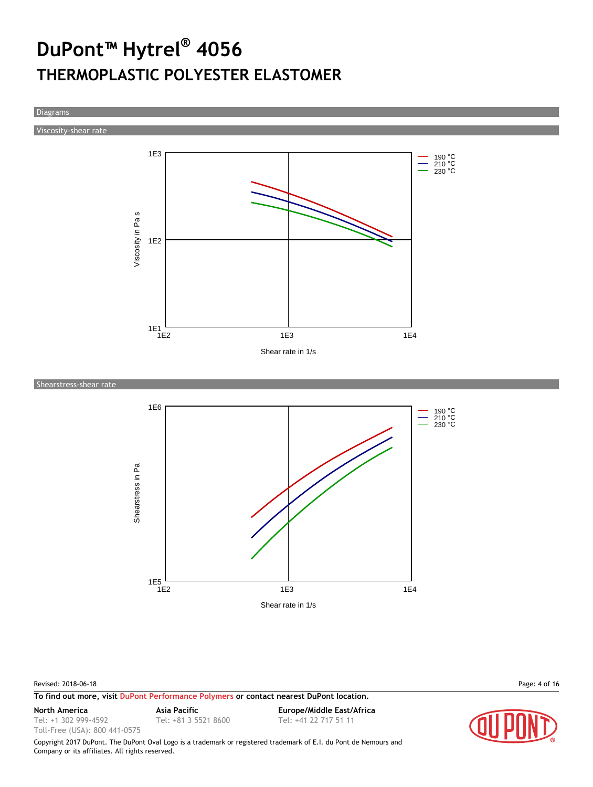Diagrams

Viscosity-shear rate



Shearstress-shear rate



Revised: 2018-06-18 Page: 4 of 16

**To find out more, visit [DuPont Performance Polymers](http://www.dupont.com/products-and-services/plastics-polymers-resins/thermoplastics.html) or contact nearest DuPont location.**

Tel: +1 302 999-4592 Toll-Free (USA): 800 441-0575

Tel: +81 3 5521 8600 Tel: +41 22 717 51 11

**North America Asia Pacific Europe/Middle East/Africa**

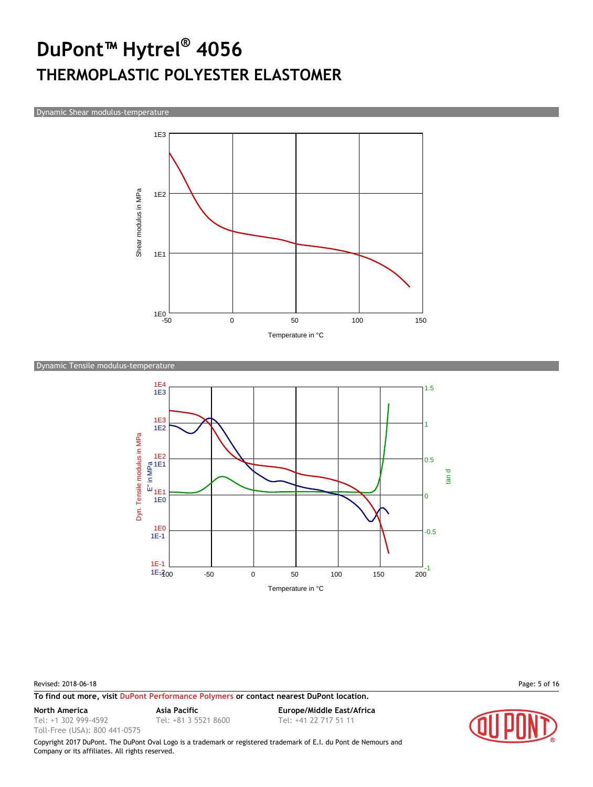Dynamic Shear modulus-temperature



#### Dynamic Tensile modulus-temperature



#### Revised: 2018-06-18 Page: 5 of 16

Toll-Free (USA): 800 441-0575

**To find out more, visit [DuPont Performance Polymers](http://www.dupont.com/products-and-services/plastics-polymers-resins/thermoplastics.html) or contact nearest DuPont location.**

Tel: +1 302 999-4592

Tel: +81 3 5521 8600 Tel: +41 22 717 51 11

**North America Asia Pacific Europe/Middle East/Africa**

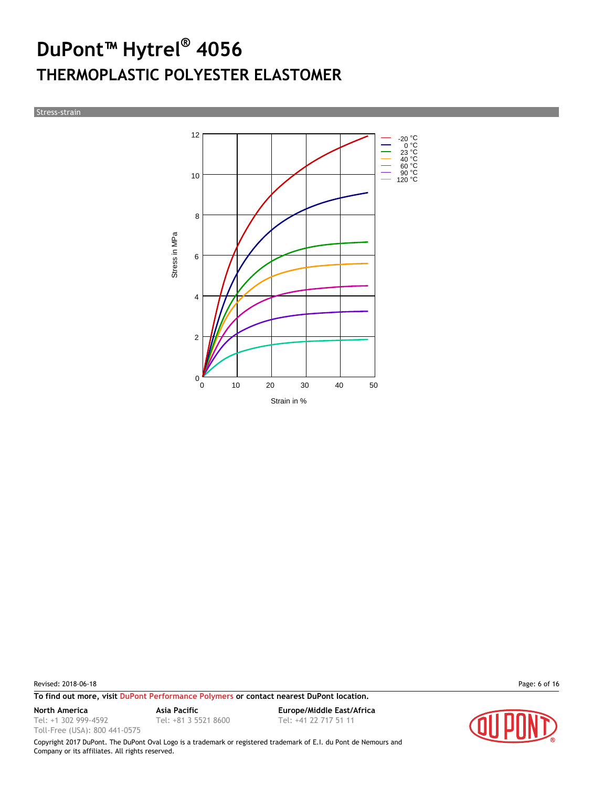Stress-strain



Revised: 2018-06-18 Page: 6 of 16

**To find out more, visit [DuPont Performance Polymers](http://www.dupont.com/products-and-services/plastics-polymers-resins/thermoplastics.html) or contact nearest DuPont location.**

Tel: +1 302 999-4592

Toll-Free (USA): 800 441-0575

Tel: +81 3 5521 8600 Tel: +41 22 717 51 11

**North America Asia Pacific Europe/Middle East/Africa**

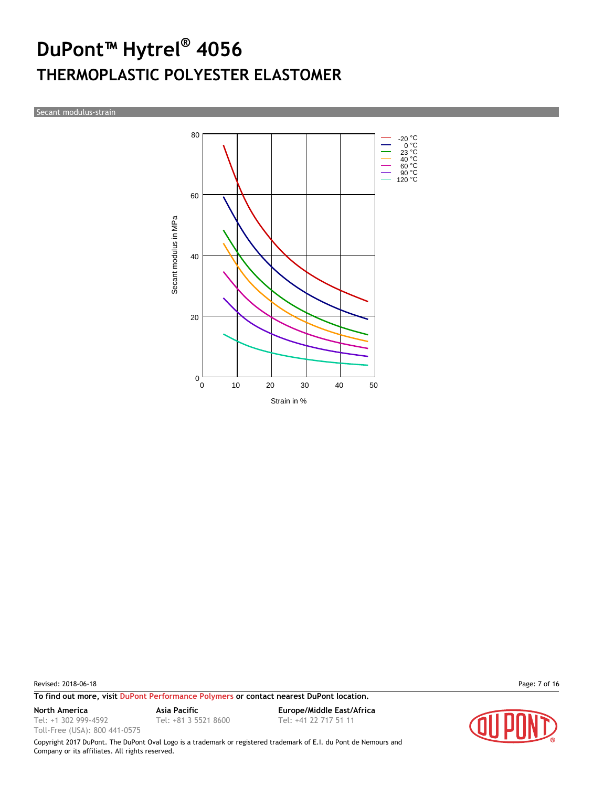Secant modulus-strain



Revised: 2018-06-18 Page: 7 of 16

**To find out more, visit [DuPont Performance Polymers](http://www.dupont.com/products-and-services/plastics-polymers-resins/thermoplastics.html) or contact nearest DuPont location.**

Tel: +1 302 999-4592

Toll-Free (USA): 800 441-0575

**North America Asia Pacific Europe/Middle East/Africa** Tel: +81 3 5521 8600 Tel: +41 22 717 51 11

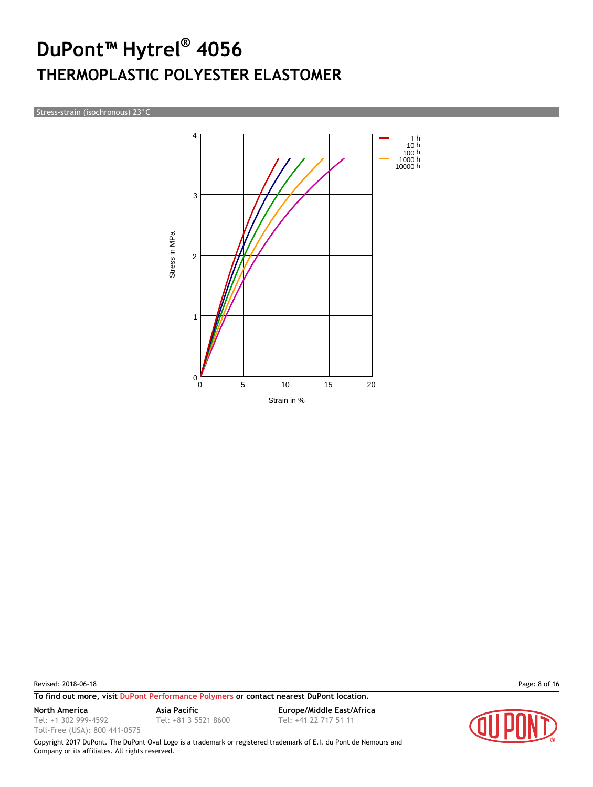Stress-strain (isochronous) 23°C



Revised: 2018-06-18 Page: 8 of 16

Tel: +1 302 999-4592 Toll-Free (USA): 800 441-0575

**To find out more, visit [DuPont Performance Polymers](http://www.dupont.com/products-and-services/plastics-polymers-resins/thermoplastics.html) or contact nearest DuPont location.**

Tel: +81 3 5521 8600 Tel: +41 22 717 51 11

**North America Asia Pacific Europe/Middle East/Africa**

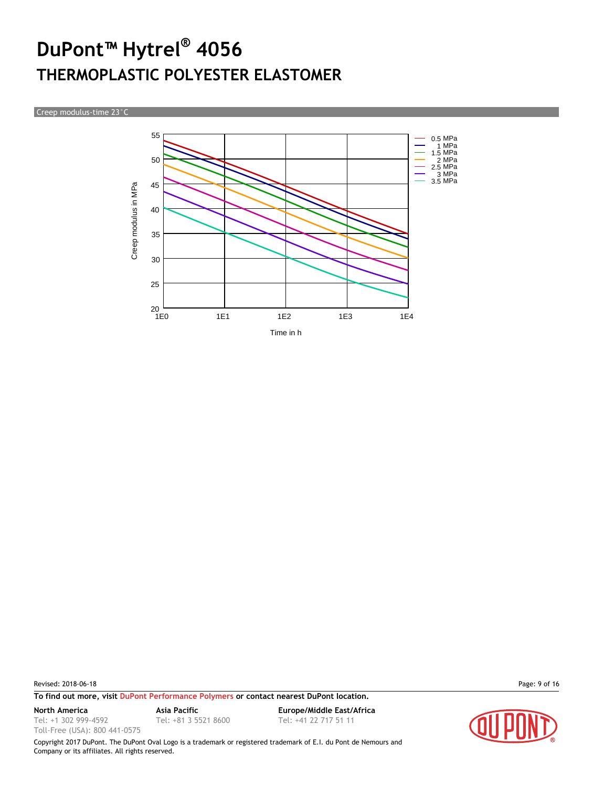Creep modulus-time 23°C



Revised: 2018-06-18 Page: 9 of 16

**To find out more, visit [DuPont Performance Polymers](http://www.dupont.com/products-and-services/plastics-polymers-resins/thermoplastics.html) or contact nearest DuPont location.**

Tel: +1 302 999-4592

Toll-Free (USA): 800 441-0575

Tel: +81 3 5521 8600 Tel: +41 22 717 51 11

**North America Asia Pacific Europe/Middle East/Africa**

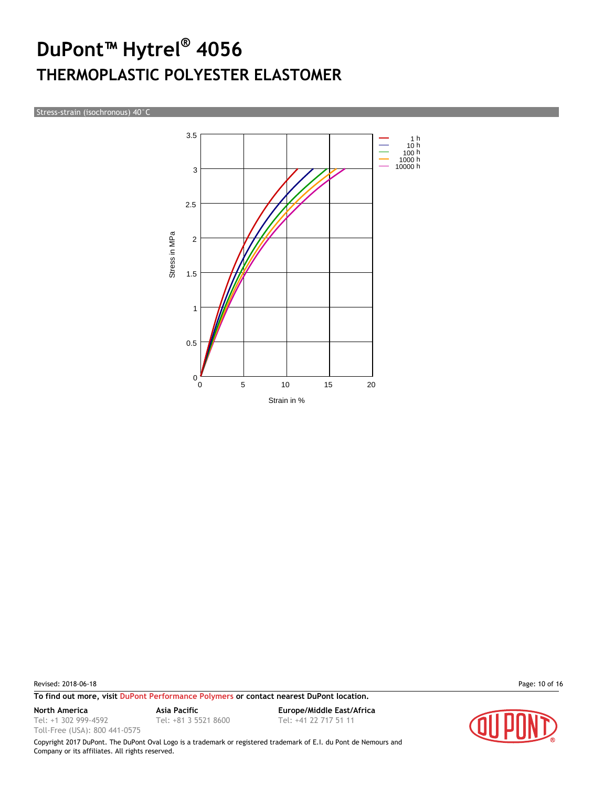Stress-strain (isochronous) 40°C



Revised: 2018-06-18 Page: 10 of 16

**To find out more, visit [DuPont Performance Polymers](http://www.dupont.com/products-and-services/plastics-polymers-resins/thermoplastics.html) or contact nearest DuPont location.**

Tel: +1 302 999-4592

Toll-Free (USA): 800 441-0575

Tel: +81 3 5521 8600 Tel: +41 22 717 51 11

**North America Asia Pacific Europe/Middle East/Africa**

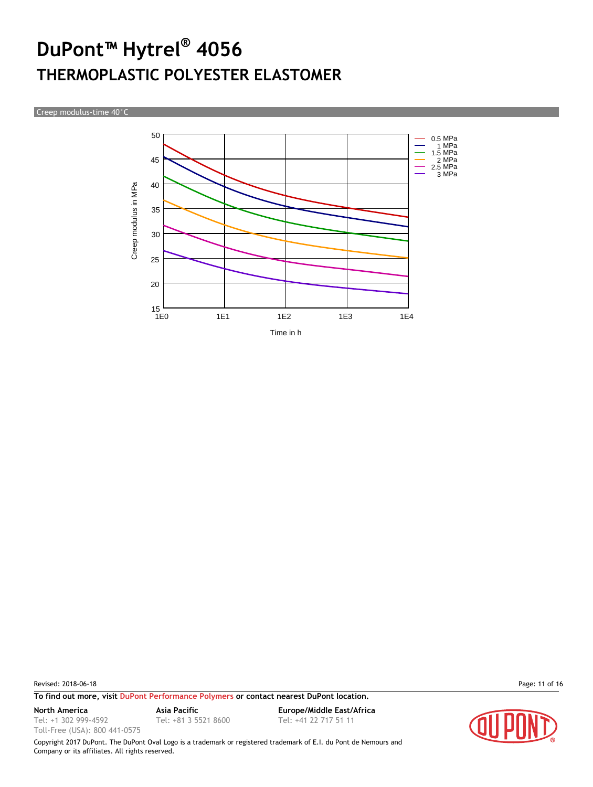Creep modulus-time 40°C



Revised: 2018-06-18 Page: 11 of 16

Tel: +1 302 999-4592 Toll-Free (USA): 800 441-0575

**To find out more, visit [DuPont Performance Polymers](http://www.dupont.com/products-and-services/plastics-polymers-resins/thermoplastics.html) or contact nearest DuPont location.**

**North America Asia Pacific Europe/Middle East/Africa** Tel: +81 3 5521 8600 Tel: +41 22 717 51 11

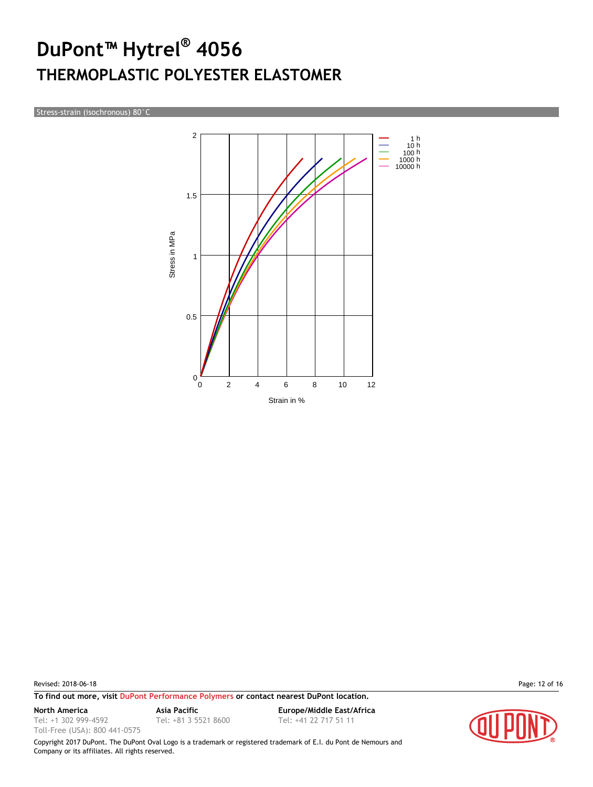Stress-strain (isochronous) 80°C



Revised: 2018-06-18 Page: 12 of 16

Tel: +1 302 999-4592 Toll-Free (USA): 800 441-0575

**To find out more, visit [DuPont Performance Polymers](http://www.dupont.com/products-and-services/plastics-polymers-resins/thermoplastics.html) or contact nearest DuPont location.**

Tel: +81 3 5521 8600 Tel: +41 22 717 51 11

**North America Asia Pacific Europe/Middle East/Africa**

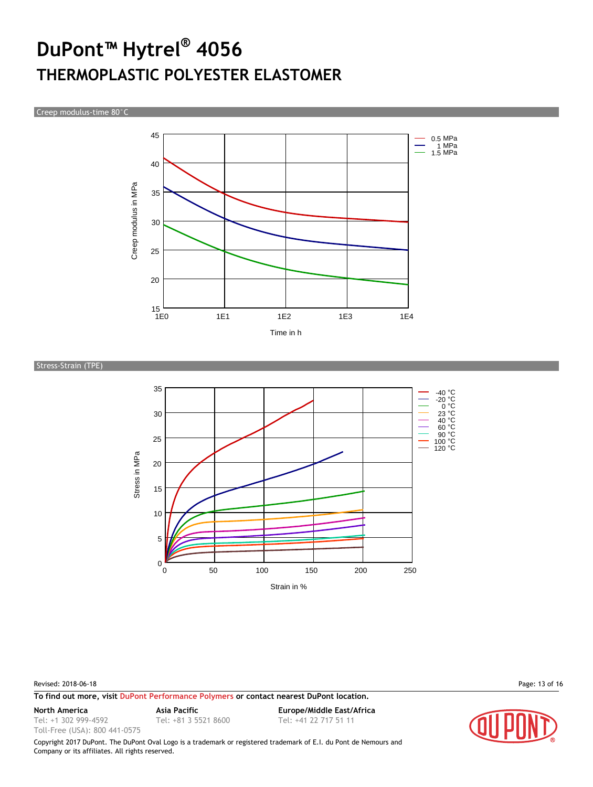Creep modulus-time 80°C



Stress-Strain (TPE)



Revised: 2018-06-18 Page: 13 of 16

**To find out more, visit [DuPont Performance Polymers](http://www.dupont.com/products-and-services/plastics-polymers-resins/thermoplastics.html) or contact nearest DuPont location.**

Tel: +1 302 999-4592

Toll-Free (USA): 800 441-0575

**North America Asia Pacific Europe/Middle East/Africa** Tel: +81 3 5521 8600 Tel: +41 22 717 51 11

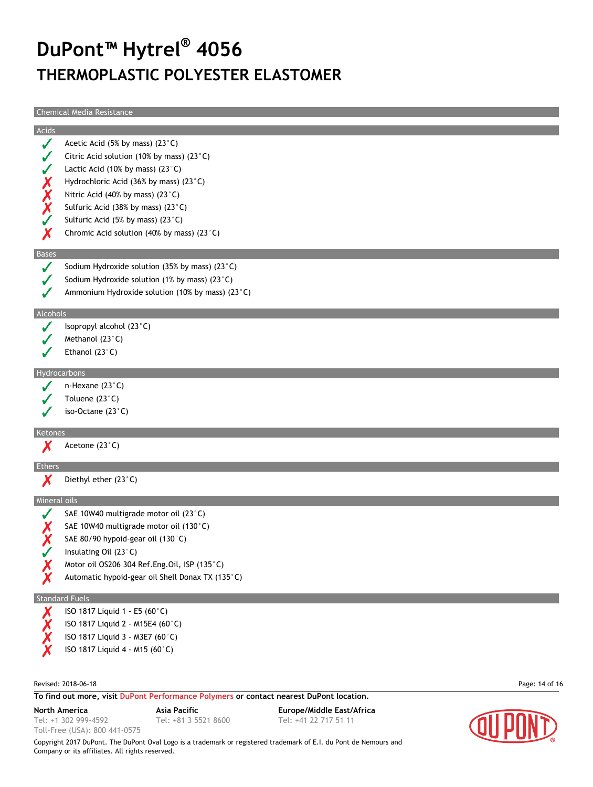Chemical Media Resistance

|              | Chemical Media Resistance                                                              |                |
|--------------|----------------------------------------------------------------------------------------|----------------|
| Acids        |                                                                                        |                |
| J            | Acetic Acid (5% by mass) (23°C)                                                        |                |
|              | Citric Acid solution (10% by mass) (23 $^{\circ}$ C)                                   |                |
|              | Lactic Acid (10% by mass) $(23^{\circ}C)$                                              |                |
|              | Hydrochloric Acid (36% by mass) (23°C)                                                 |                |
|              | Nitric Acid (40% by mass) (23°C)                                                       |                |
| X<br>XX      | Sulfuric Acid (38% by mass) (23°C)                                                     |                |
|              | Sulfuric Acid (5% by mass) (23°C)                                                      |                |
| Х            | Chromic Acid solution (40% by mass) (23°C)                                             |                |
|              |                                                                                        |                |
| <b>Bases</b> |                                                                                        |                |
|              | Sodium Hydroxide solution (35% by mass) (23 $^{\circ}$ C)                              |                |
|              | Sodium Hydroxide solution (1% by mass) (23 $^{\circ}$ C)                               |                |
|              | Ammonium Hydroxide solution (10% by mass) (23°C)                                       |                |
| Alcohols     |                                                                                        |                |
|              | Isopropyl alcohol (23°C)                                                               |                |
|              | Methanol (23°C)                                                                        |                |
|              | Ethanol $(23^{\circ}C)$                                                                |                |
|              |                                                                                        |                |
|              | Hydrocarbons                                                                           |                |
|              | n-Hexane $(23^{\circ}C)$                                                               |                |
|              | Toluene (23°C)                                                                         |                |
|              | iso-Octane (23°C)                                                                      |                |
| Ketones      |                                                                                        |                |
|              | Acetone (23°C)                                                                         |                |
| Ethers       |                                                                                        |                |
|              | Diethyl ether (23°C)                                                                   |                |
|              | Mineral oils                                                                           |                |
|              | SAE 10W40 multigrade motor oil (23°C)                                                  |                |
|              | SAE 10W40 multigrade motor oil (130°C)                                                 |                |
|              | SAE 80/90 hypoid-gear oil (130°C)                                                      |                |
|              | Insulating Oil (23°C)                                                                  |                |
|              | Motor oil OS206 304 Ref.Eng.Oil, ISP (135°C)                                           |                |
|              | Automatic hypoid-gear oil Shell Donax TX (135°C)                                       |                |
|              |                                                                                        |                |
|              | <b>Standard Fuels</b>                                                                  |                |
|              | ISO 1817 Liquid 1 - E5 (60°C)                                                          |                |
|              | ISO 1817 Liquid 2 - M15E4 (60°C)                                                       |                |
|              | ISO 1817 Liquid 3 - M3E7 (60°C)                                                        |                |
|              | ISO 1817 Liquid 4 - M15 (60°C)                                                         |                |
|              |                                                                                        |                |
|              | Revised: 2018-06-18                                                                    | Page: 14 of 16 |
|              | To find out more, visit DuPont Performance Polymers or contact nearest DuPont location |                |

**To find out more, visit [DuPont Performance Polymers](http://www.dupont.com/products-and-services/plastics-polymers-resins/thermoplastics.html) or contact nearest DuPont location.**

Tel: +1 302 999-4592

Toll-Free (USA): 800 441-0575

Tel: +81 3 5521 8600 Tel: +41 22 717 51 11

**North America Asia Pacific Europe/Middle East/Africa**

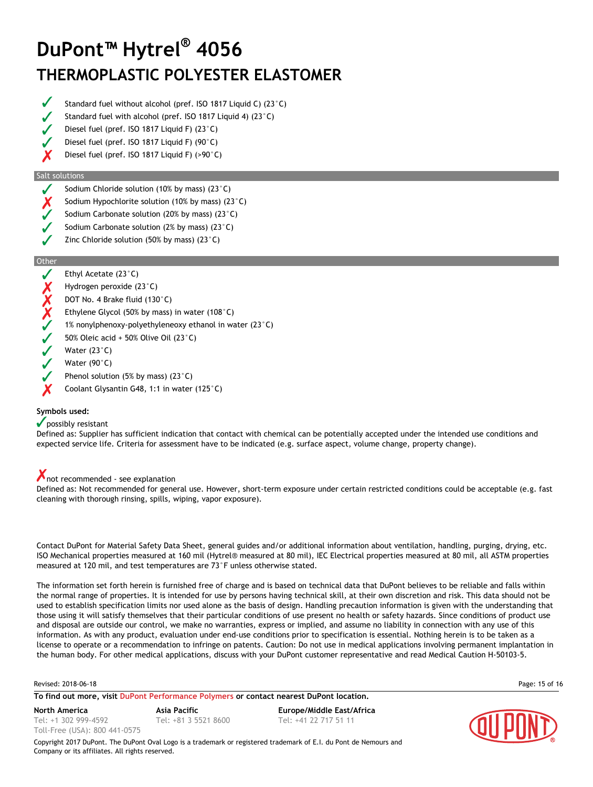- Standard fuel without alcohol (pref. ISO 1817 Liquid C) (23°C)
- Standard fuel with alcohol (pref. ISO 1817 Liquid 4) (23°C)
- Diesel fuel (pref. ISO 1817 Liquid F) (23°C)
- Diesel fuel (pref. ISO 1817 Liquid F) (90°C)
- X Diesel fuel (pref. ISO 1817 Liquid F) (>90°C)

#### Salt solutions

- Sodium Chloride solution (10% by mass) (23°C)
- Sodium Hypochlorite solution (10% by mass) (23°C)
- Sodium Carbonate solution (20% by mass) (23°C)
- Sodium Carbonate solution (2% by mass) (23°C)
- Zinc Chloride solution (50% by mass) (23°C)

#### **Other**

- Ethyl Acetate (23°C)
- Hydrogen peroxide (23°C)
- DOT No. 4 Brake fluid (130°C)
- Ethylene Glycol (50% by mass) in water (108°C)
- XXXX 1% nonylphenoxy-polyethyleneoxy ethanol in water (23°C)
- 50% Oleic acid + 50% Olive Oil (23°C)
- Water (23°C)
- Water (90°C)
- Phenol solution (5% by mass) (23°C)
- Coolant Glysantin G48, 1:1 in water (125°C)

#### **Symbols used:**

#### possibly resistant

Defined as: Supplier has sufficient indication that contact with chemical can be potentially accepted under the intended use conditions and expected service life. Criteria for assessment have to be indicated (e.g. surface aspect, volume change, property change).

#### not recommended - see explanation

Defined as: Not recommended for general use. However, short-term exposure under certain restricted conditions could be acceptable (e.g. fast cleaning with thorough rinsing, spills, wiping, vapor exposure).

Contact DuPont for Material Safety Data Sheet, general guides and/or additional information about ventilation, handling, purging, drying, etc. ISO Mechanical properties measured at 160 mil (Hytrel® measured at 80 mil), IEC Electrical properties measured at 80 mil, all ASTM properties measured at 120 mil, and test temperatures are 73°F unless otherwise stated.

The information set forth herein is furnished free of charge and is based on technical data that DuPont believes to be reliable and falls within the normal range of properties. It is intended for use by persons having technical skill, at their own discretion and risk. This data should not be used to establish specification limits nor used alone as the basis of design. Handling precaution information is given with the understanding that those using it will satisfy themselves that their particular conditions of use present no health or safety hazards. Since conditions of product use and disposal are outside our control, we make no warranties, express or implied, and assume no liability in connection with any use of this information. As with any product, evaluation under end-use conditions prior to specification is essential. Nothing herein is to be taken as a license to operate or a recommendation to infringe on patents. Caution: Do not use in medical applications involving permanent implantation in the human body. For other medical applications, discuss with your DuPont customer representative and read Medical Caution H-50103-5.

```
Revised: 2018-06-18 Page: 15 of 16
```
**To find out more, visit [DuPont Performance Polymers](http://www.dupont.com/products-and-services/plastics-polymers-resins/thermoplastics.html) or contact nearest DuPont location.**

Tel: +1 302 999-4592 Toll-Free (USA): 800 441-0575

**North America Asia Pacific Europe/Middle East/Africa** Tel: +81 3 5521 8600 Tel: +41 22 717 51 11